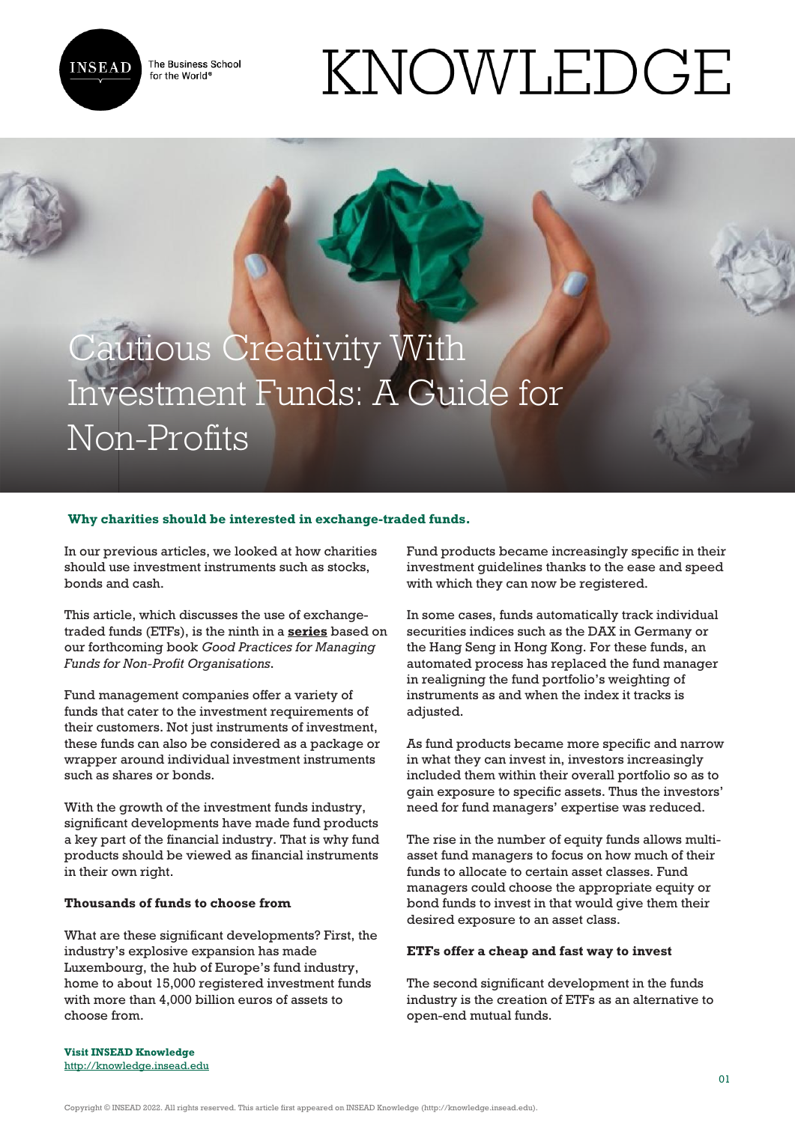

The Business School for the World<sup>®</sup>

# KNOWLEDGE

# Cautious Creativity With Investment Funds: A Guide for Non-Profits

### **Why charities should be interested in exchange-traded funds.**

In our previous articles, we looked at how charities should use investment instruments such as stocks, bonds and cash.

This article, which discusses the use of exchangetraded funds (ETFs), is the ninth in a **[series](https://knowledge.insead.edu/economics-finance/fund-management-for-non-profits-9776)** based on our forthcoming book *Good Practices for Managing Funds for Non-Profit Organisations*.

Fund management companies offer a variety of funds that cater to the investment requirements of their customers. Not just instruments of investment, these funds can also be considered as a package or wrapper around individual investment instruments such as shares or bonds.

With the growth of the investment funds industry, significant developments have made fund products a key part of the financial industry. That is why fund products should be viewed as financial instruments in their own right.

#### **Thousands of funds to choose from**

What are these significant developments? First, the industry's explosive expansion has made Luxembourg, the hub of Europe's fund industry, home to about 15,000 registered investment funds with more than 4,000 billion euros of assets to choose from.

Fund products became increasingly specific in their investment guidelines thanks to the ease and speed with which they can now be registered.

In some cases, funds automatically track individual securities indices such as the DAX in Germany or the Hang Seng in Hong Kong. For these funds, an automated process has replaced the fund manager in realigning the fund portfolio's weighting of instruments as and when the index it tracks is adjusted.

As fund products became more specific and narrow in what they can invest in, investors increasingly included them within their overall portfolio so as to gain exposure to specific assets. Thus the investors' need for fund managers' expertise was reduced.

The rise in the number of equity funds allows multiasset fund managers to focus on how much of their funds to allocate to certain asset classes. Fund managers could choose the appropriate equity or bond funds to invest in that would give them their desired exposure to an asset class.

#### **ETFs offer a cheap and fast way to invest**

The second significant development in the funds industry is the creation of ETFs as an alternative to open-end mutual funds.

**Visit INSEAD Knowledge** <http://knowledge.insead.edu>

Copyright © INSEAD 2022. All rights reserved. This article first appeared on INSEAD Knowledge (http://knowledge.insead.edu).